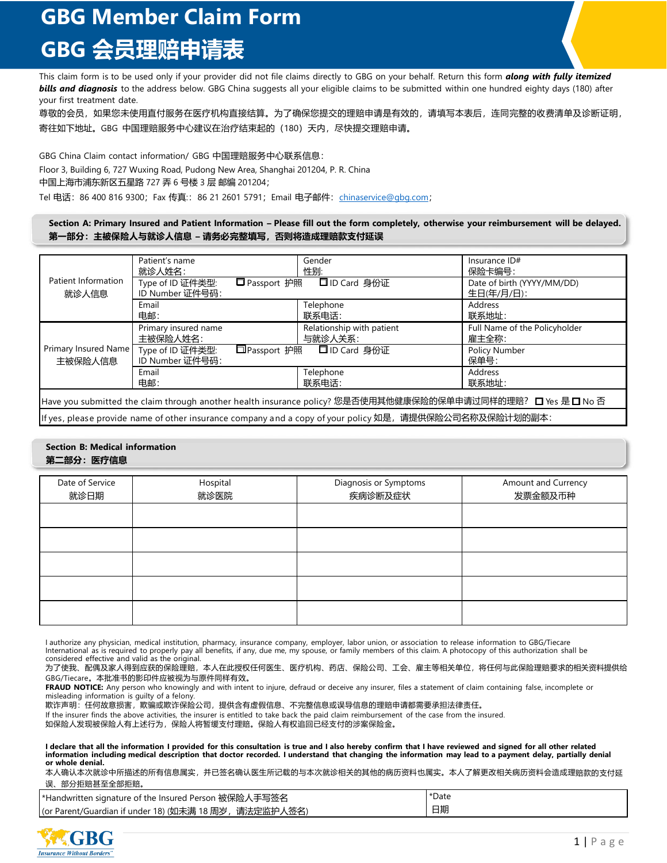# **GBG Member Claim Form GBG 会员理赔申请表**

This claim form is to be used only if your provider did not file claims directly to GBG on your behalf. Return this form *along with fully itemized bills and diagnosis* to the address below. GBG China suggests all your eligible claims to be submitted within one hundred eighty days (180) after your first treatment date.

尊敬的会员,如果您未使用直付服务在医疗机构直接结算。为了确保您提交的理赔申请是有效的,请填写本表后,连同完整的收费清单及诊断证明, 寄往如下地址。GBG 中国理赔服务中心建议在治疗结束起的 (180) 天内, 尽快提交理赔申请。

GBG China Claim contact information/ GBG 中国理赔服务中心联系信息: Floor 3, Building 6, 727 Wuxing Road, Pudong New Area, Shanghai 201204, P. R. China 中国上海市浦东新区五星路 727 弄 6 号楼 3 层 邮编 201204;

Tel 电话: 86 400 816 9300; Fax 传真:: 86 21 2601 5791; Email 电子邮件: chinaservice@gbg.com;

### Section A: Primary Insured and Patient Information - Please fill out the form completely, otherwise your reimbursement will be delayed. **第一部分:主被保险人与就诊人信息 – 请务必完整填写,否则将造成理赔款支付延误**

| Patient Information<br>就诊人信息                                                                                 | Patient's name                                                                                          | Gender                    | Insurance ID#                 |
|--------------------------------------------------------------------------------------------------------------|---------------------------------------------------------------------------------------------------------|---------------------------|-------------------------------|
|                                                                                                              | 就诊人姓名:                                                                                                  | 性别:                       | 保险卡编号:                        |
|                                                                                                              | □ Passport 护照<br>Type of ID 证件类型:                                                                       | □ ID Card 身份证             | Date of birth (YYYY/MM/DD)    |
|                                                                                                              | ID Number 证件号码:                                                                                         |                           | 生日(年/月/日):                    |
|                                                                                                              | Email                                                                                                   | Telephone                 | Address                       |
|                                                                                                              | 电邮:                                                                                                     | 联系电话:                     | 联系地址:                         |
| Primary Insured Name<br>主被保险人信息                                                                              | Primary insured name                                                                                    | Relationship with patient | Full Name of the Policyholder |
|                                                                                                              | 主被保险人姓名:                                                                                                | 与就诊人关系:                   | 雇主全称:                         |
|                                                                                                              | □Passport 护照<br>Type of ID 证件类型:                                                                        | □ID Card 身份证              | <b>Policy Number</b>          |
|                                                                                                              | ID Number 证件号码:                                                                                         |                           | 保单号:                          |
|                                                                                                              | Email                                                                                                   | Telephone                 | Address                       |
|                                                                                                              | 电邮:                                                                                                     | 联系电话:                     | 联系地址:                         |
| Have you submitted the claim through another health insurance policy? 您是否使用其他健康保险的保单申请过同样的理赔? □ Yes 是 □ No 否 |                                                                                                         |                           |                               |
|                                                                                                              |                                                                                                         |                           |                               |
|                                                                                                              | lf yes, please provide name of other insurance company and a copy of your policy 如是, 请提供保险公司名称及保险计划的副本: |                           |                               |

### **Section B: Medical information 第二部分:医疗信息**

| Date of Service<br>就诊日期 | Hospital<br>就诊医院 | Diagnosis or Symptoms<br>疾病诊断及症状 | Amount and Currency<br>发票金额及币种 |
|-------------------------|------------------|----------------------------------|--------------------------------|
|                         |                  |                                  |                                |
|                         |                  |                                  |                                |
|                         |                  |                                  |                                |
|                         |                  |                                  |                                |
|                         |                  |                                  |                                |

I authorize any physician, medical institution, pharmacy, insurance company, employer, labor union, or association to release information to GBG/Tiecare International as is required to properly pay all benefits, if any, due me, my spouse, or family members of this claim. A photocopy of this authorization shall be considered effective and valid as the original.

为了使我、配偶及家人得到应获的保险理赔,本人在此授权任何医生、医疗机构、药店、保险公司、工会、雇主等相关单位,将任何与此保险理赔要求的相关资料提供给 GBG/Tiecare。本批准书的影印件应被视为与原件同样有效。

**FRAUD NOTICE:** Any person who knowingly and with intent to injure, defraud or deceive any insurer, files a statement of claim containing false, incomplete or misleading information is guilty of a felony.

欺诈声明:任何故意损害,欺骗或欺诈保险公司,提供含有虚假信息、不完整信息或误导信息的理赔申请都需要承担法律责任。 If the insurer finds the above activities, the insurer is entitled to take back the paid claim reimbursement of the case from the insured.

如保险人发现被保险人有上述行为,保险人将暂缓支付理赔。保险人有权追回已经支付的涉案保险金。

I declare that all the information I provided for this consultation is true and I also hereby confirm that I have reviewed and signed for all other related information including medical description that doctor recorded. I understand that changing the information may lead to a payment delay, partially denial **or whole denial.**

本人确认本次就诊中所描述的所有信息属实,并已签名确认医生所记载的与本次就诊相关的其他的病历资料也属实。本人了解更改相关病历资料会造成理赔款的支付延 误、部分拒赔甚至全部拒赔。

| *Handwritten signature of the Insured Person 被保险人手写签名  | *Date |
|--------------------------------------------------------|-------|
| (or Parent/Guardian if under 18) (如未满 18 周岁, 请法定监护人签名) | 日期    |